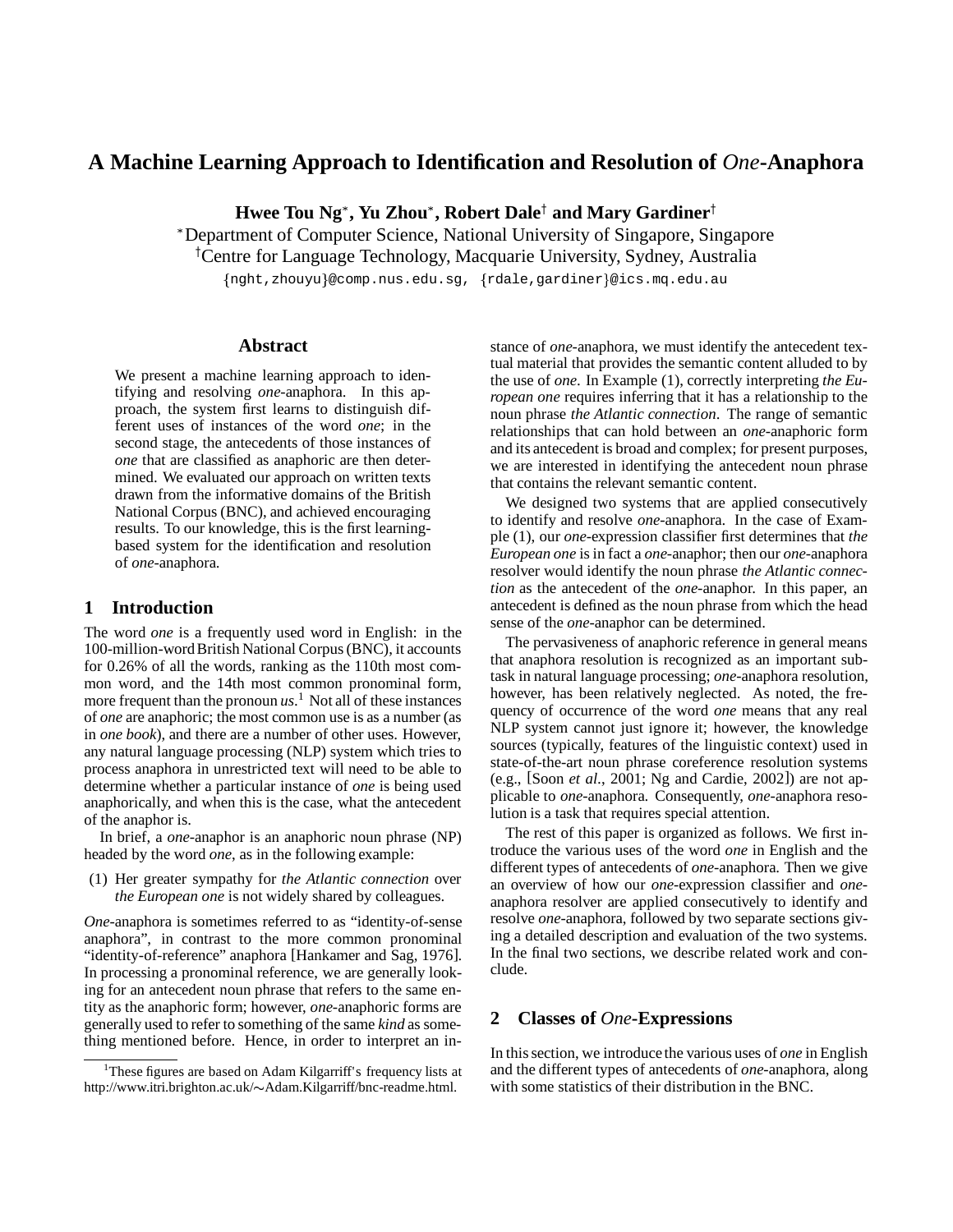# **A Machine Learning Approach to Identification and Resolution of** *One***-Anaphora**

 $\mathbf{H}$ wee Tou  $\mathbf{N}\mathbf{g}^*$ ,  $\mathbf{Yu}\ \mathbf{Zhou}^*$ ,  $\mathbf{Robert}\ \mathbf{Dale}^\dagger$  and  $\mathbf{Mary}\ \mathbf{Gardiner}^\dagger$ 

Department of Computer Science, National University of Singapore, Singapore

Centre for Language Technology, Macquarie University, Sydney, Australia

{nght,zhouyu}@comp.nus.edu.sg, {rdale,gardiner}@ics.mq.edu.au

### **Abstract**

We present a machine learning approach to identifying and resolving *one*-anaphora. In this approach, the system first learns to distinguish different uses of instances of the word *one*; in the second stage, the antecedents of those instances of *one* that are classified as anaphoric are then determined. We evaluated our approach on written texts drawn from the informative domains of the British National Corpus (BNC), and achieved encouraging results. To our knowledge, this is the first learningbased system for the identification and resolution of *one*-anaphora.

# **1 Introduction**

The word *one* is a frequently used word in English: in the 100-million-wordBritish National Corpus(BNC), it accounts for 0.26% of all the words, ranking as the 110th most common word, and the 14th most common pronominal form, more frequent than the pronoun  $us$ <sup>1</sup>. Not all of these instances of *one* are anaphoric; the most common use is as a number (as in *one book*), and there are a number of other uses. However, any natural language processing (NLP) system which tries to process anaphora in unrestricted text will need to be able to determine whether a particular instance of *one* is being used anaphorically, and when this is the case, what the antecedent of the anaphor is.

In brief, a *one*-anaphor is an anaphoric noun phrase (NP) headed by the word *one*, as in the following example:

(1) Her greater sympathy for *the Atlantic connection* over *the European one* is not widely shared by colleagues.

*One*-anaphora is sometimes referred to as "identity-of-sense anaphora", in contrast to the more common pronominal "identity-of-reference" anaphora [Hankamer and Sag, 1976]. In processing a pronominal reference, we are generally looking for an antecedent noun phrase that refers to the same entity as the anaphoric form; however, *one*-anaphoric forms are generally used to refer to something of the same *kind* as something mentioned before. Hence, in order to interpret an instance of *one*-anaphora, we must identify the antecedent textual material that provides the semantic content alluded to by the use of *one*. In Example (1), correctly interpreting *the European one* requires inferring that it has a relationship to the noun phrase *the Atlantic connection*. The range of semantic relationships that can hold between an *one*-anaphoric form and its antecedent is broad and complex; for present purposes, we are interested in identifying the antecedent noun phrase that contains the relevant semantic content.

We designed two systems that are applied consecutively to identify and resolve *one*-anaphora. In the case of Example (1), our *one*-expression classifier first determines that *the European one* is in fact a *one*-anaphor; then our *one*-anaphora resolver would identify the noun phrase *the Atlantic connection* as the antecedent of the *one*-anaphor. In this paper, an antecedent is defined as the noun phrase from which the head sense of the *one*-anaphor can be determined.

The pervasiveness of anaphoric reference in general means that anaphora resolution is recognized as an important subtask in natural language processing; *one*-anaphora resolution, however, has been relatively neglected. As noted, the frequency of occurrence of the word *one* means that any real NLP system cannot just ignore it; however, the knowledge sources (typically, features of the linguistic context) used in state-of-the-art noun phrase coreference resolution systems (e.g., [Soon *et al.*, 2001; Ng and Cardie, 2002]) are not applicable to *one*-anaphora. Consequently, *one*-anaphora resolution is a task that requires special attention.

The rest of this paper is organized as follows. We first introduce the various uses of the word *one* in English and the different types of antecedents of *one*-anaphora. Then we give an overview of how our *one*-expression classifier and *one*anaphora resolver are applied consecutively to identify and resolve *one*-anaphora, followed by two separate sections giving a detailed description and evaluation of the two systems. In the final two sections, we describe related work and conclude.

### **2 Classes of** *One***-Expressions**

In thissection, we introduce the various uses of *one* in English and the different types of antecedents of *one*-anaphora, along with some statistics of their distribution in the BNC.

<sup>&</sup>lt;sup>1</sup>These figures are based on Adam Kilgarriff's frequency lists at http://www.itri.brighton.ac.uk/~Adam.Kilgarriff/bnc-readme.html.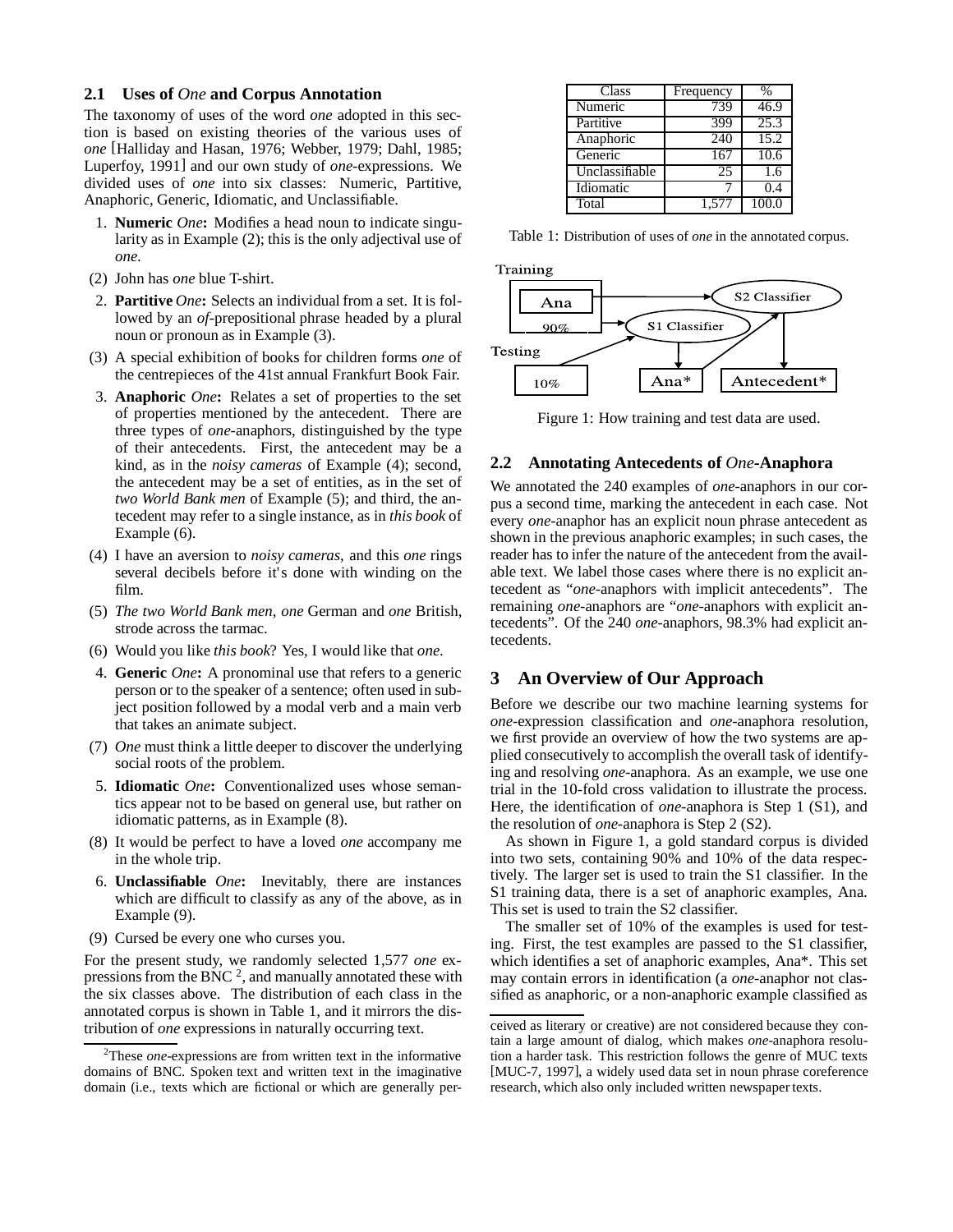### **2.1 Uses of** *One* **and Corpus Annotation**

The taxonomy of uses of the word *one* adopted in this section is based on existing theories of the various uses of *one* [Halliday and Hasan, 1976; Webber, 1979; Dahl, 1985; Luperfoy, 1991] and our own study of *one*-expressions. We divided uses of *one* into six classes: Numeric, Partitive, Anaphoric, Generic, Idiomatic, and Unclassifiable.

- 1. **Numeric** *One***:** Modifies a head noun to indicate singularity as in Example (2); this is the only adjectival use of *one*.
- (2) John has *one* blue T-shirt.
- 2. **Partitive** *One***:** Selects an individual from a set. It is followed by an *of*-prepositional phrase headed by a plural noun or pronoun as in Example (3).
- (3) A special exhibition of books for children forms *one* of the centrepieces of the 41st annual Frankfurt Book Fair.
- 3. **Anaphoric** *One***:** Relates a set of properties to the set of properties mentioned by the antecedent. There are three types of *one*-anaphors, distinguished by the type of their antecedents. First, the antecedent may be a kind, as in the *noisy cameras* of Example (4); second, the antecedent may be a set of entities, as in the set of *two World Bank men* of Example (5); and third, the antecedent may refer to a single instance, as in *this book* of Example (6).
- (4) I have an aversion to *noisy cameras*, and this *one* rings several decibels before it's done with winding on the film.
- (5) *The two World Bank men*, *one* German and *one* British, strode across the tarmac.
- (6) Would you like *this book*? Yes, I would like that *one*.
- 4. **Generic** *One***:** A pronominal use that refers to a generic person or to the speaker of a sentence; often used in subject position followed by a modal verb and a main verb that takes an animate subject.
- (7) *One* must think a little deeper to discover the underlying social roots of the problem.
- 5. **Idiomatic** *One***:** Conventionalized uses whose semantics appear not to be based on general use, but rather on idiomatic patterns, as in Example (8).
- (8) It would be perfect to have a loved *one* accompany me in the whole trip.
- 6. **Unclassifiable** *One***:** Inevitably, there are instances which are difficult to classify as any of the above, as in Example (9).
- (9) Cursed be every one who curses you.

For the present study, we randomly selected 1,577 *one* expressions from the BNC  $^2$ , and manually annotated these with the six classes above. The distribution of each class in the annotated corpus is shown in Table 1, and it mirrors the distribution of *one* expressions in naturally occurring text.

| Class          | Frequency | $\%$  |
|----------------|-----------|-------|
| Numeric        | 739       | 46.9  |
| Partitive      | 399       | 25.3  |
| Anaphoric      | 240       | 15.2  |
| Generic        | 167       | 10.6  |
| Unclassifiable | 25        | 1.6   |
| Idiomatic      |           | 0.4   |
| Total          | 1,577     | 100.0 |

Table 1: Distribution of uses of *one* in the annotated corpus.



Figure 1: How training and test data are used.

#### **2.2 Annotating Antecedents of** *One***-Anaphora**

We annotated the 240 examples of *one*-anaphors in our corpus a second time, marking the antecedent in each case. Not every *one*-anaphor has an explicit noun phrase antecedent as shown in the previous anaphoric examples; in such cases, the reader has to infer the nature of the antecedent from the available text. We label those cases where there is no explicit antecedent as "*one*-anaphors with implicit antecedents". The remaining *one*-anaphors are "*one*-anaphors with explicit antecedents". Of the 240 *one*-anaphors, 98.3% had explicit antecedents.

# **3 An Overview of Our Approach**

Before we describe our two machine learning systems for *one*-expression classification and *one*-anaphora resolution, we first provide an overview of how the two systems are applied consecutively to accomplish the overall task of identifying and resolving *one*-anaphora. As an example, we use one trial in the 10-fold cross validation to illustrate the process. Here, the identification of *one*-anaphora is Step 1 (S1), and the resolution of *one*-anaphora is Step 2 (S2).

As shown in Figure 1, a gold standard corpus is divided into two sets, containing 90% and 10% of the data respectively. The larger set is used to train the S1 classifier. In the S1 training data, there is a set of anaphoric examples, Ana. This set is used to train the S2 classifier.

The smaller set of 10% of the examples is used for testing. First, the test examples are passed to the S1 classifier, which identifies a set of anaphoric examples, Ana\*. This set may contain errors in identification (a *one*-anaphor not classified as anaphoric, or a non-anaphoric example classified as

<sup>2</sup>These *one*-expressions are from written text in the informative domains of BNC. Spoken text and written text in the imaginative domain (i.e., texts which are fictional or which are generally per-

ceived as literary or creative) are not considered because they contain a large amount of dialog, which makes *one*-anaphora resolution a harder task. This restriction follows the genre of MUC texts [MUC-7, 1997], a widely used data set in noun phrase coreference research, which also only included written newspaper texts.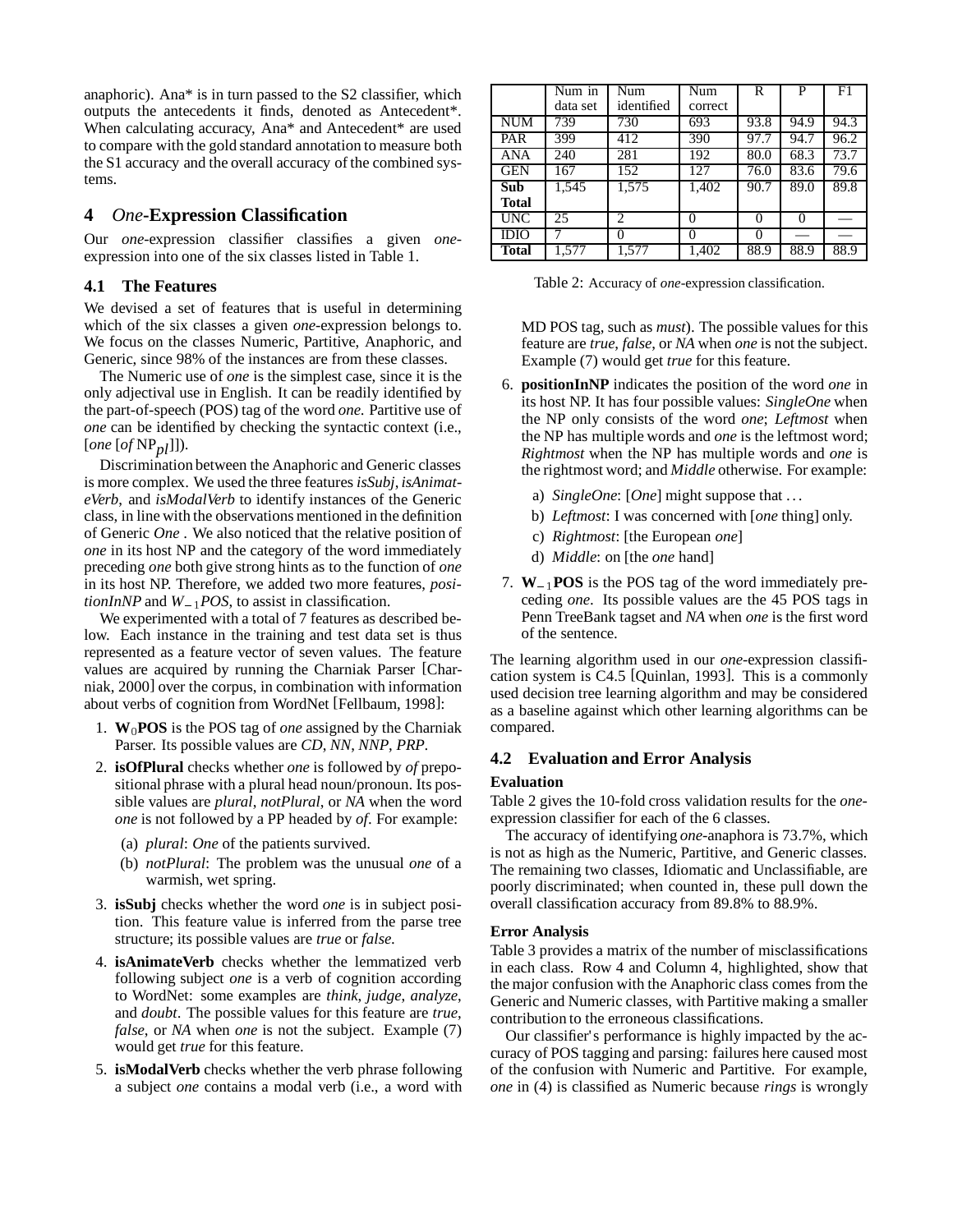anaphoric). Ana\* is in turn passed to the S2 classifier, which outputs the antecedents it finds, denoted as Antecedent\*. When calculating accuracy, Ana\* and Antecedent\* are used to compare with the gold standard annotation to measure both the S1 accuracy and the overall accuracy of the combined systems.

# **4** *One***-Expression Classification**

Our *one*-expression classifier classifies a given *one*expression into one of the six classes listed in Table 1.

# **4.1 The Features**

We devised a set of features that is useful in determining which of the six classes a given *one*-expression belongs to. We focus on the classes Numeric, Partitive, Anaphoric, and Generic, since 98% of the instances are from these classes.

The Numeric use of *one* is the simplest case, since it is the only adjectival use in English. It can be readily identified by the part-of-speech (POS) tag of the word *one*. Partitive use of *one* can be identified by checking the syntactic context (i.e., [*one* [*of* NP*pl*]]).

Discrimination between the Anaphoric and Generic classes is more complex. We used the three features *isSubj*, *isAnimateVerb*, and *isModalVerb* to identify instances of the Generic class, in line with the observations mentioned in the definition of Generic *One* . We also noticed that the relative position of *one* in its host NP and the category of the word immediately preceding *one* both give strong hints as to the function of *one* in its host NP. Therefore, we added two more features, *positionInNP* and  $W_{-1}$ *POS*, to assist in classification.

We experimented with a total of 7 features as described below. Each instance in the training and test data set is thus represented as a feature vector of seven values. The feature values are acquired by running the Charniak Parser [Charniak, 2000] over the corpus, in combination with information about verbs of cognition from WordNet [Fellbaum, 1998]:

- 1.  $W_0$ **POS** is the POS tag of *one* assigned by the Charniak Parser. Its possible values are *CD*, *NN*, *NNP*, *PRP*.
- 2. **isOfPlural** checks whether *one* is followed by *of* prepositional phrase with a plural head noun/pronoun. Its possible values are *plural*, *notPlural*, or *NA* when the word *one* is not followed by a PP headed by *of*. For example:
	- (a) *plural*: *One* of the patients survived.
	- (b) *notPlural*: The problem was the unusual *one* of a warmish, wet spring.
- 3. **isSubj** checks whether the word *one* is in subject position. This feature value is inferred from the parse tree structure; its possible values are *true* or *false*.
- 4. **isAnimateVerb** checks whether the lemmatized verb following subject *one* is a verb of cognition according to WordNet: some examples are *think*, *judge*, *analyze*, and *doubt*. The possible values for this feature are *true*, *false*, or *NA* when *one* is not the subject. Example (7) would get *true* for this feature.
- 5. **isModalVerb** checks whether the verb phrase following a subject *one* contains a modal verb (i.e., a word with

|              | Num in   | Num               | Num               | R    | P    | F1   |
|--------------|----------|-------------------|-------------------|------|------|------|
|              | data set | identified        | correct           |      |      |      |
| <b>NUM</b>   | 739      | 730               | 693               | 93.8 | 94.9 | 94.3 |
| PAR          | 399      | 412               | 390               | 97.7 | 94.7 | 96.2 |
| <b>ANA</b>   | 240      | 281               | 192               | 80.0 | 68.3 | 73.7 |
| <b>GEN</b>   | 167      | 152               | 127               | 76.0 | 83.6 | 79.6 |
| Sub          | 1,545    | 1,575             | 1,402             | 90.7 | 89.0 | 89.8 |
| <b>Total</b> |          |                   |                   |      |      |      |
| <b>UNC</b>   | 25       | $\mathfrak{D}$    | 0                 | 0    | 0    |      |
| <b>IDIO</b>  |          | $\mathbf{\Omega}$ | $\mathbf{\Omega}$ |      |      |      |
| Total        | 1.577    | 1.577             | 1,402             | 88.9 | 88.9 | 88.9 |

Table 2: Accuracy of *one*-expression classification.

MD POS tag, such as *must*). The possible values for this feature are *true*, *false*, or *NA* when *one* is not the subject. Example (7) would get *true* for this feature.

- 6. **positionInNP** indicates the position of the word *one* in its host NP. It has four possible values: *SingleOne* when the NP only consists of the word *one*; *Leftmost* when the NP has multiple words and *one* is the leftmost word; *Rightmost* when the NP has multiple words and *one* is the rightmost word; and *Middle* otherwise. For example:
	- a) *SingleOne*: [*One*] might suppose that . . .
	- b) *Leftmost*: I was concerned with [*one* thing] only.
	- c) *Rightmost*: [the European *one*]
	- d) *Middle*: on [the *one* hand]
- 7.  $W_{-1}$ **POS** is the POS tag of the word immediately preceding *one*. Its possible values are the 45 POS tags in Penn TreeBank tagset and *NA* when *one* is the first word of the sentence.

The learning algorithm used in our *one*-expression classification system is C4.5 [Quinlan, 1993]. This is a commonly used decision tree learning algorithm and may be considered as a baseline against which other learning algorithms can be compared.

# **4.2 Evaluation and Error Analysis**

# **Evaluation**

Table 2 gives the 10-fold cross validation results for the *one*expression classifier for each of the 6 classes.

The accuracy of identifying *one*-anaphora is 73.7%, which is not as high as the Numeric, Partitive, and Generic classes. The remaining two classes, Idiomatic and Unclassifiable, are poorly discriminated; when counted in, these pull down the overall classification accuracy from 89.8% to 88.9%.

# **Error Analysis**

Table 3 provides a matrix of the number of misclassifications in each class. Row 4 and Column 4, highlighted, show that the major confusion with the Anaphoric class comes from the Generic and Numeric classes, with Partitive making a smaller contribution to the erroneous classifications.

Our classifier's performance is highly impacted by the accuracy of POS tagging and parsing: failures here caused most of the confusion with Numeric and Partitive. For example, *one* in (4) is classified as Numeric because *rings* is wrongly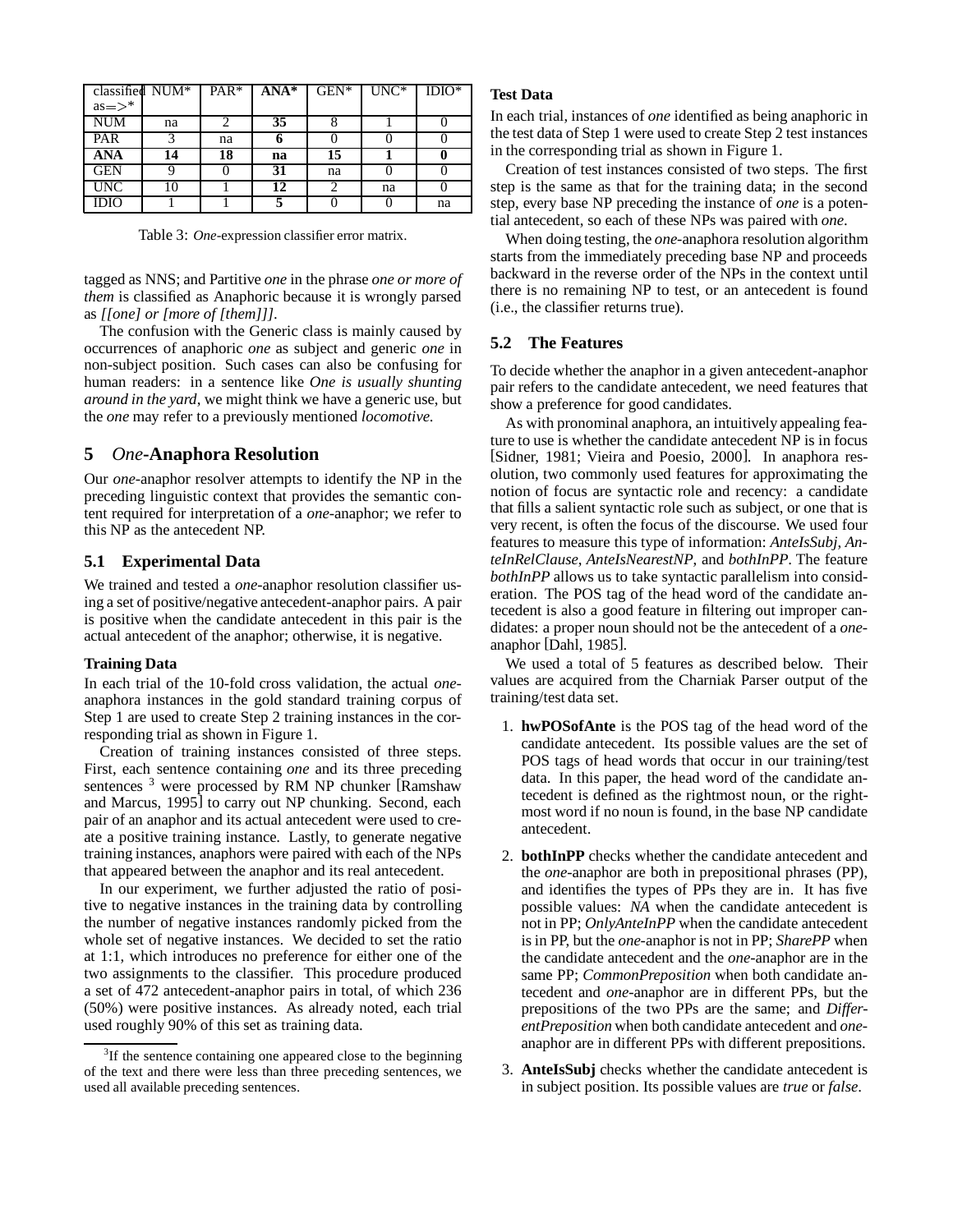| classified NUM* |    | $PAR*$ | $ANA*$ | $GEN*$ | $UNC*$ | $IDIO^*$ |
|-----------------|----|--------|--------|--------|--------|----------|
| $as = >^*$      |    |        |        |        |        |          |
| <b>NUM</b>      | na |        | 35     | o      |        |          |
| PAR             |    | na     | o      |        |        |          |
| <b>ANA</b>      | 14 | 18     | na     | 15     |        |          |
| <b>GEN</b>      |    |        | 31     | na     |        |          |
| <b>UNC</b>      | 10 |        | 12     |        | na     |          |
| IDIO            |    |        |        |        |        | na       |

Table 3: *One*-expression classifier error matrix.

tagged as NNS; and Partitive *one* in the phrase *one or more of them* is classified as Anaphoric because it is wrongly parsed as *[[one] or [more of [them]]]*.

The confusion with the Generic class is mainly caused by occurrences of anaphoric *one* as subject and generic *one* in non-subject position. Such cases can also be confusing for human readers: in a sentence like *One is usually shunting around in the yard*, we might think we have a generic use, but the *one* may refer to a previously mentioned *locomotive*.

# **5** *One***-Anaphora Resolution**

Our *one*-anaphor resolver attempts to identify the NP in the preceding linguistic context that provides the semantic content required for interpretation of a *one*-anaphor; we refer to this NP as the antecedent NP.

#### **5.1 Experimental Data**

We trained and tested a *one*-anaphor resolution classifier using a set of positive/negative antecedent-anaphor pairs. A pair is positive when the candidate antecedent in this pair is the actual antecedent of the anaphor; otherwise, it is negative.

#### **Training Data**

In each trial of the 10-fold cross validation, the actual *one*anaphora instances in the gold standard training corpus of Step 1 are used to create Step 2 training instances in the corresponding trial as shown in Figure 1.

Creation of training instances consisted of three steps. First, each sentence containing *one* and its three preceding sentences <sup>3</sup> were processed by RM NP chunker [Ramshaw and Marcus, 1995] to carry out NP chunking. Second, each pair of an anaphor and its actual antecedent were used to create a positive training instance. Lastly, to generate negative training instances, anaphors were paired with each of the NPs that appeared between the anaphor and its real antecedent.

In our experiment, we further adjusted the ratio of positive to negative instances in the training data by controlling the number of negative instances randomly picked from the whole set of negative instances. We decided to set the ratio at 1:1, which introduces no preference for either one of the two assignments to the classifier. This procedure produced a set of 472 antecedent-anaphor pairs in total, of which 236 (50%) were positive instances. As already noted, each trial used roughly 90% of this set as training data.

#### **Test Data**

In each trial, instances of *one* identified as being anaphoric in the test data of Step 1 were used to create Step 2 test instances in the corresponding trial as shown in Figure 1.

Creation of test instances consisted of two steps. The first step is the same as that for the training data; in the second step, every base NP preceding the instance of *one* is a potential antecedent, so each of these NPs was paired with *one*.

When doing testing, the *one*-anaphora resolution algorithm starts from the immediately preceding base NP and proceeds backward in the reverse order of the NPs in the context until there is no remaining NP to test, or an antecedent is found (i.e., the classifier returns true).

### **5.2 The Features**

To decide whether the anaphor in a given antecedent-anaphor pair refers to the candidate antecedent, we need features that show a preference for good candidates.

As with pronominal anaphora, an intuitively appealing feature to use is whether the candidate antecedent NP is in focus [Sidner, 1981; Vieira and Poesio, 2000]. In anaphora resolution, two commonly used features for approximating the notion of focus are syntactic role and recency: a candidate that fills a salient syntactic role such as subject, or one that is very recent, is often the focus of the discourse. We used four features to measure this type of information: *AnteIsSubj*, *AnteInRelClause*, *AnteIsNearestNP*, and *bothInPP*. The feature *bothInPP* allows us to take syntactic parallelism into consideration. The POS tag of the head word of the candidate antecedent is also a good feature in filtering out improper candidates: a proper noun should not be the antecedent of a *one*anaphor [Dahl, 1985].

We used a total of 5 features as described below. Their values are acquired from the Charniak Parser output of the training/test data set.

- 1. **hwPOSofAnte** is the POS tag of the head word of the candidate antecedent. Its possible values are the set of POS tags of head words that occur in our training/test data. In this paper, the head word of the candidate antecedent is defined as the rightmost noun, or the rightmost word if no noun is found, in the base NP candidate antecedent.
- 2. **bothInPP** checks whether the candidate antecedent and the *one*-anaphor are both in prepositional phrases (PP), and identifies the types of PPs they are in. It has five possible values: *NA* when the candidate antecedent is not in PP; *OnlyAnteInPP* when the candidate antecedent is in PP, but the *one*-anaphor is not in PP; *SharePP* when the candidate antecedent and the *one*-anaphor are in the same PP; *CommonPreposition* when both candidate antecedent and *one*-anaphor are in different PPs, but the prepositions of the two PPs are the same; and *DifferentPreposition* when both candidate antecedent and *one*anaphor are in different PPs with different prepositions.
- 3. **AnteIsSubj** checks whether the candidate antecedent is in subject position. Its possible values are *true* or *false*.

 $3$ If the sentence containing one appeared close to the beginning of the text and there were less than three preceding sentences, we used all available preceding sentences.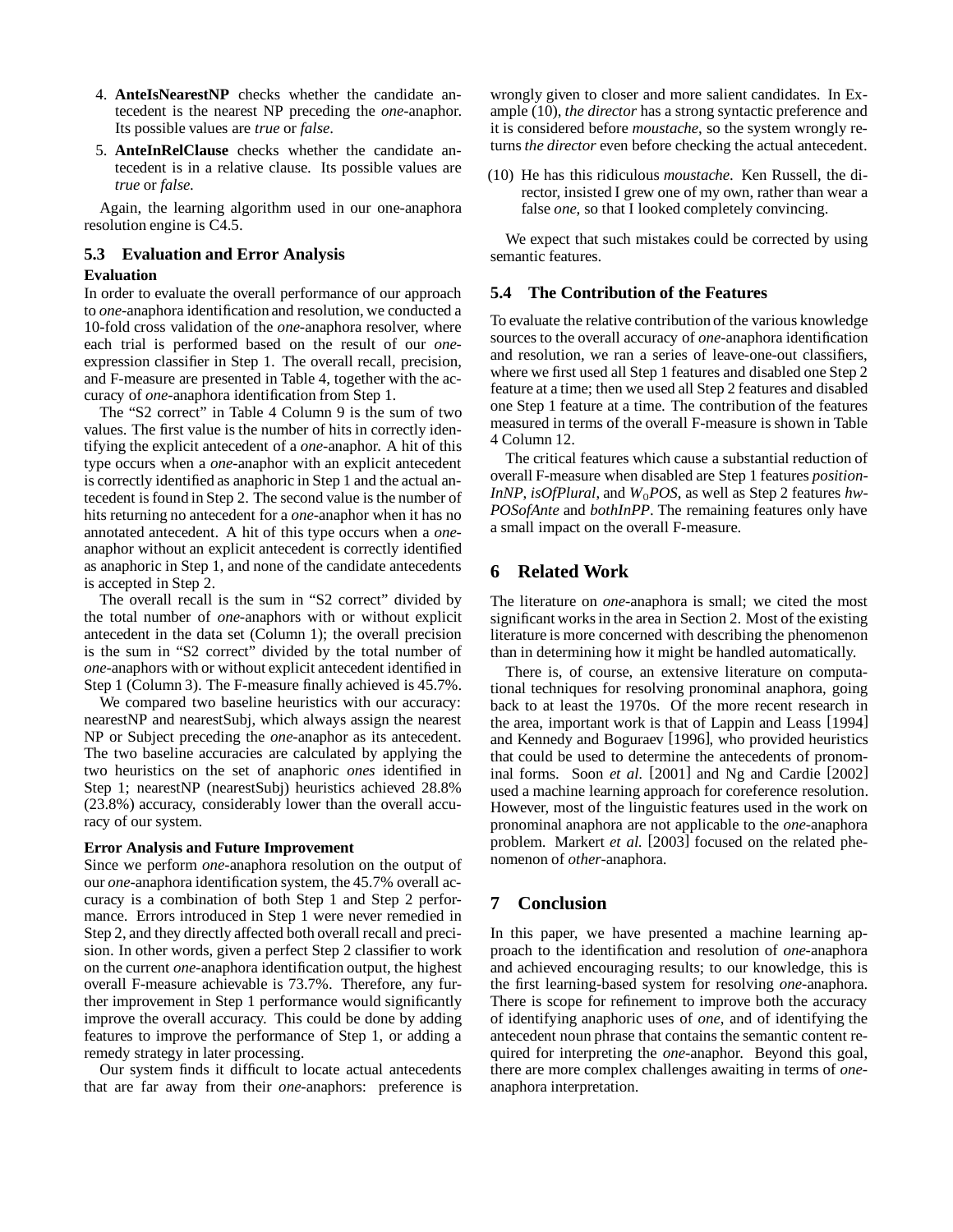- 4. **AnteIsNearestNP** checks whether the candidate antecedent is the nearest NP preceding the *one*-anaphor. Its possible values are *true* or *false*.
- 5. **AnteInRelClause** checks whether the candidate antecedent is in a relative clause. Its possible values are *true* or *false*.

Again, the learning algorithm used in our one-anaphora resolution engine is C4.5.

### **5.3 Evaluation and Error Analysis**

#### **Evaluation**

In order to evaluate the overall performance of our approach to *one*-anaphora identification and resolution, we conducted a 10-fold cross validation of the *one*-anaphora resolver, where each trial is performed based on the result of our *one*expression classifier in Step 1. The overall recall, precision, and F-measure are presented in Table 4, together with the accuracy of *one*-anaphora identification from Step 1.

The "S2 correct" in Table 4 Column 9 is the sum of two values. The first value is the number of hits in correctly identifying the explicit antecedent of a *one*-anaphor. A hit of this type occurs when a *one*-anaphor with an explicit antecedent is correctly identified as anaphoric in Step 1 and the actual antecedent is found in Step 2. The second value is the number of hits returning no antecedent for a *one*-anaphor when it has no annotated antecedent. A hit of this type occurs when a *one*anaphor without an explicit antecedent is correctly identified as anaphoric in Step 1, and none of the candidate antecedents is accepted in Step 2.

The overall recall is the sum in "S2 correct" divided by the total number of *one*-anaphors with or without explicit antecedent in the data set (Column 1); the overall precision is the sum in "S2 correct" divided by the total number of *one*-anaphors with or without explicit antecedent identified in Step 1 (Column 3). The F-measure finally achieved is 45.7%.

We compared two baseline heuristics with our accuracy: nearestNP and nearestSubj, which always assign the nearest NP or Subject preceding the *one*-anaphor as its antecedent. The two baseline accuracies are calculated by applying the two heuristics on the set of anaphoric *ones* identified in Step 1; nearestNP (nearestSubj) heuristics achieved 28.8% (23.8%) accuracy, considerably lower than the overall accuracy of our system.

#### **Error Analysis and Future Improvement**

Since we perform *one*-anaphora resolution on the output of our *one*-anaphora identification system, the 45.7% overall accuracy is a combination of both Step 1 and Step 2 performance. Errors introduced in Step 1 were never remedied in Step 2, and they directly affected both overall recall and precision. In other words, given a perfect Step 2 classifier to work on the current *one*-anaphora identification output, the highest overall F-measure achievable is 73.7%. Therefore, any further improvement in Step 1 performance would significantly improve the overall accuracy. This could be done by adding features to improve the performance of Step 1, or adding a remedy strategy in later processing.

Our system finds it difficult to locate actual antecedents that are far away from their *one*-anaphors: preference is wrongly given to closer and more salient candidates. In Example (10), *the director* has a strong syntactic preference and it is considered before *moustache*, so the system wrongly returns *the director* even before checking the actual antecedent.

(10) He has this ridiculous *moustache*. Ken Russell, the director, insisted I grew one of my own, rather than wear a false *one*, so that I looked completely convincing.

We expect that such mistakes could be corrected by using semantic features.

### **5.4 The Contribution of the Features**

To evaluate the relative contribution of the various knowledge sources to the overall accuracy of *one*-anaphora identification and resolution, we ran a series of leave-one-out classifiers, where we first used all Step 1 features and disabled one Step 2 feature at a time; then we used all Step 2 features and disabled one Step 1 feature at a time. The contribution of the features measured in terms of the overall F-measure is shown in Table 4 Column 12.

The critical features which cause a substantial reduction of overall F-measure when disabled are Step 1 features *position-InNP*, *isOfPlural*, and  $W_0POS$ , as well as Step 2 features *hw*-*POSofAnte* and *bothInPP*. The remaining features only have a small impact on the overall F-measure.

# **6 Related Work**

The literature on *one*-anaphora is small; we cited the most significant works in the area in Section 2. Most of the existing literature is more concerned with describing the phenomenon than in determining how it might be handled automatically.

There is, of course, an extensive literature on computational techniques for resolving pronominal anaphora, going back to at least the 1970s. Of the more recent research in the area, important work is that of Lappin and Leass [1994] and Kennedy and Boguraev [1996], who provided heuristics that could be used to determine the antecedents of pronominal forms. Soon *et al.* [2001] and Ng and Cardie [2002] used a machine learning approach for coreference resolution. However, most of the linguistic features used in the work on pronominal anaphora are not applicable to the *one*-anaphora problem. Markert *et al.* [2003] focused on the related phenomenon of *other*-anaphora.

# **7 Conclusion**

In this paper, we have presented a machine learning approach to the identification and resolution of *one*-anaphora and achieved encouraging results; to our knowledge, this is the first learning-based system for resolving *one*-anaphora. There is scope for refinement to improve both the accuracy of identifying anaphoric uses of *one*, and of identifying the antecedent noun phrase that contains the semantic content required for interpreting the *one*-anaphor. Beyond this goal, there are more complex challenges awaiting in terms of *one*anaphora interpretation.